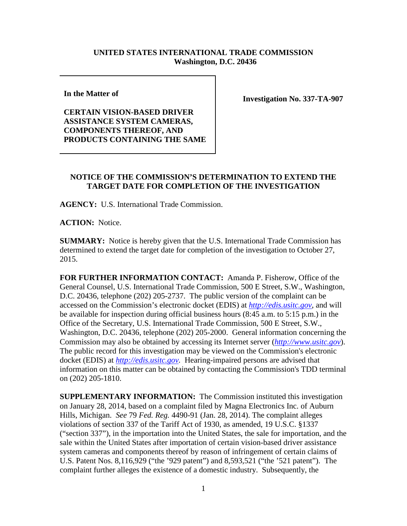## **UNITED STATES INTERNATIONAL TRADE COMMISSION Washington, D.C. 20436**

**In the Matter of** 

**CERTAIN VISION-BASED DRIVER ASSISTANCE SYSTEM CAMERAS, COMPONENTS THEREOF, AND PRODUCTS CONTAINING THE SAME** **Investigation No. 337-TA-907**

## **NOTICE OF THE COMMISSION'S DETERMINATION TO EXTEND THE TARGET DATE FOR COMPLETION OF THE INVESTIGATION**

**AGENCY:** U.S. International Trade Commission.

**ACTION:** Notice.

**SUMMARY:** Notice is hereby given that the U.S. International Trade Commission has determined to extend the target date for completion of the investigation to October 27, 2015.

**FOR FURTHER INFORMATION CONTACT:** Amanda P. Fisherow, Office of the General Counsel, U.S. International Trade Commission, 500 E Street, S.W., Washington, D.C. 20436, telephone (202) 205-2737. The public version of the complaint can be accessed on the Commission's electronic docket (EDIS) at *[http://edis.usitc.gov](http://edis.usitc.gov/)*, and will be available for inspection during official business hours (8:45 a.m. to 5:15 p.m.) in the Office of the Secretary, U.S. International Trade Commission, 500 E Street, S.W., Washington, D.C. 20436, telephone (202) 205-2000. General information concerning the Commission may also be obtained by accessing its Internet server (*[http://www.usitc.gov](http://www.usitc.gov/)*). The public record for this investigation may be viewed on the Commission's electronic docket (EDIS) at *[http://edis.usitc.gov.](http://edis.usitc.gov/)* Hearing-impaired persons are advised that information on this matter can be obtained by contacting the Commission's TDD terminal on (202) 205-1810.

**SUPPLEMENTARY INFORMATION:** The Commission instituted this investigation on January 28, 2014, based on a complaint filed by Magna Electronics Inc. of Auburn Hills, Michigan. *See* 79 *Fed. Reg.* 4490-91 (Jan. 28, 2014). The complaint alleges violations of section 337 of the Tariff Act of 1930, as amended, 19 U.S.C. §1337 ("section 337"), in the importation into the United States, the sale for importation, and the sale within the United States after importation of certain vision-based driver assistance system cameras and components thereof by reason of infringement of certain claims of U.S. Patent Nos. 8,116,929 ("the '929 patent") and 8,593,521 ("the '521 patent"). The complaint further alleges the existence of a domestic industry. Subsequently, the